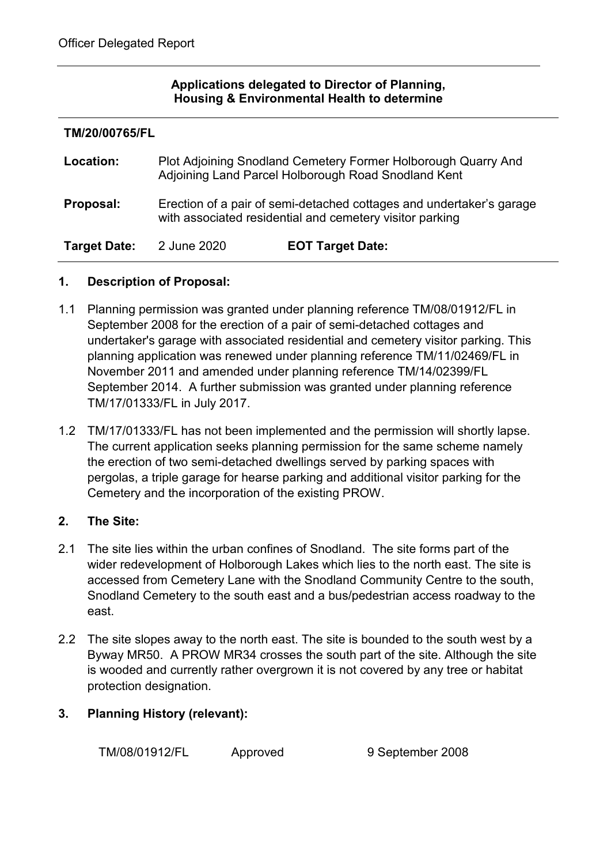#### **Applications delegated to Director of Planning, Housing & Environmental Health to determine**

| TM/20/00765/FL      |                                                                                                                                  |                         |  |  |  |
|---------------------|----------------------------------------------------------------------------------------------------------------------------------|-------------------------|--|--|--|
| Location:           | Plot Adjoining Snodland Cemetery Former Holborough Quarry And<br>Adjoining Land Parcel Holborough Road Snodland Kent             |                         |  |  |  |
| Proposal:           | Erection of a pair of semi-detached cottages and undertaker's garage<br>with associated residential and cemetery visitor parking |                         |  |  |  |
| <b>Target Date:</b> | 2 June 2020                                                                                                                      | <b>EOT Target Date:</b> |  |  |  |

#### **1. Description of Proposal:**

- 1.1 Planning permission was granted under planning reference TM/08/01912/FL in September 2008 for the erection of a pair of semi-detached cottages and undertaker's garage with associated residential and cemetery visitor parking. This planning application was renewed under planning reference TM/11/02469/FL in November 2011 and amended under planning reference TM/14/02399/FL September 2014. A further submission was granted under planning reference TM/17/01333/FL in July 2017.
- 1.2 TM/17/01333/FL has not been implemented and the permission will shortly lapse. The current application seeks planning permission for the same scheme namely the erection of two semi-detached dwellings served by parking spaces with pergolas, a triple garage for hearse parking and additional visitor parking for the Cemetery and the incorporation of the existing PROW.

# **2. The Site:**

- 2.1 The site lies within the urban confines of Snodland. The site forms part of the wider redevelopment of Holborough Lakes which lies to the north east. The site is accessed from Cemetery Lane with the Snodland Community Centre to the south, Snodland Cemetery to the south east and a bus/pedestrian access roadway to the east.
- 2.2 The site slopes away to the north east. The site is bounded to the south west by a Byway MR50. A PROW MR34 crosses the south part of the site. Although the site is wooded and currently rather overgrown it is not covered by any tree or habitat protection designation.

# **3. Planning History (relevant):**

TM/08/01912/FL Approved 9 September 2008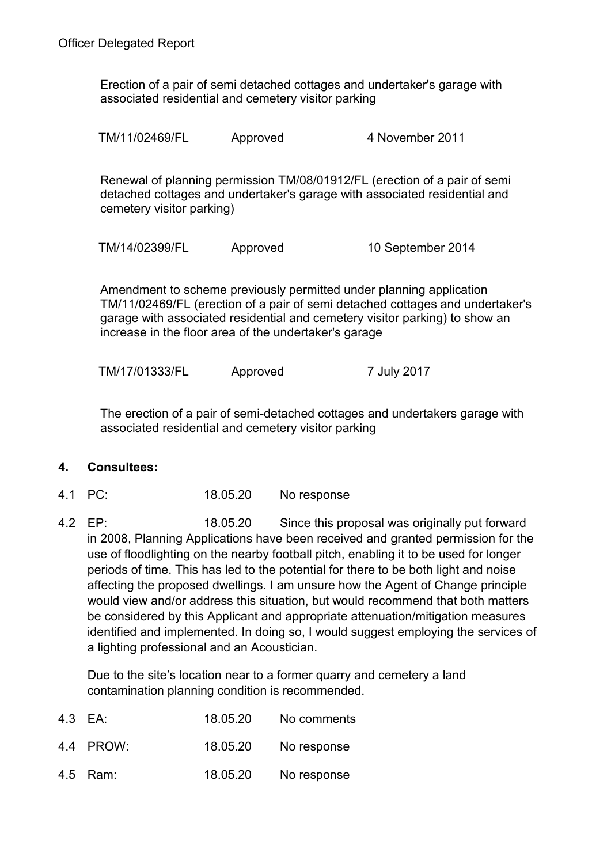Erection of a pair of semi detached cottages and undertaker's garage with associated residential and cemetery visitor parking

TM/11/02469/FL Approved 4 November 2011

Renewal of planning permission TM/08/01912/FL (erection of a pair of semi detached cottages and undertaker's garage with associated residential and cemetery visitor parking)

TM/14/02399/FL Approved 10 September 2014

Amendment to scheme previously permitted under planning application TM/11/02469/FL (erection of a pair of semi detached cottages and undertaker's garage with associated residential and cemetery visitor parking) to show an increase in the floor area of the undertaker's garage

TM/17/01333/FL Approved 7 July 2017

The erection of a pair of semi-detached cottages and undertakers garage with associated residential and cemetery visitor parking

# **4. Consultees:**

- 4.1 PC: 18.05.20 No response
- 4.2 EP: 18.05.20 Since this proposal was originally put forward in 2008, Planning Applications have been received and granted permission for the use of floodlighting on the nearby football pitch, enabling it to be used for longer periods of time. This has led to the potential for there to be both light and noise affecting the proposed dwellings. I am unsure how the Agent of Change principle would view and/or address this situation, but would recommend that both matters be considered by this Applicant and appropriate attenuation/mitigation measures identified and implemented. In doing so, I would suggest employing the services of a lighting professional and an Acoustician.

Due to the site's location near to a former quarry and cemetery a land contamination planning condition is recommended.

| 4.3 EA:   | 18.05.20 | No comments |
|-----------|----------|-------------|
| 4.4 PROW: | 18.05.20 | No response |
| 4.5 Ram:  | 18.05.20 | No response |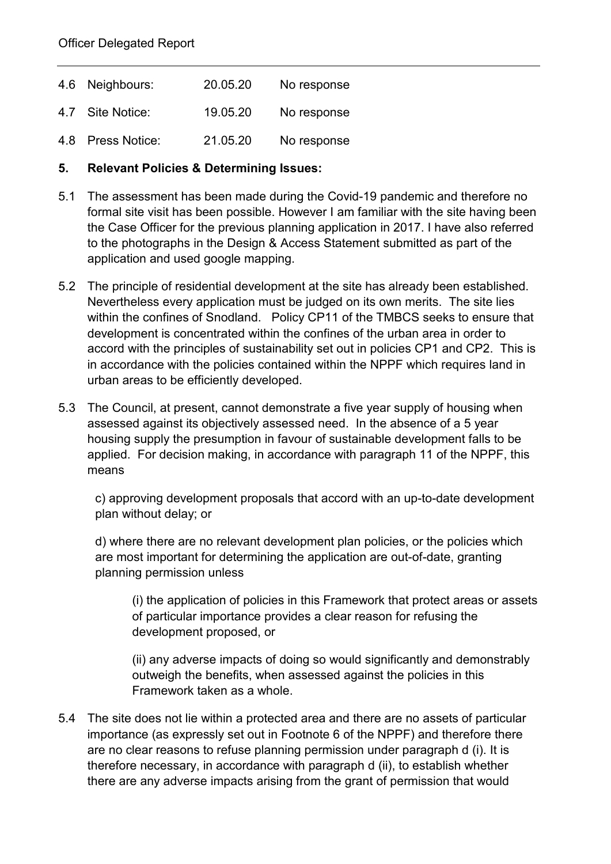| 4.6 Neighbours:   | 20.05.20 | No response |
|-------------------|----------|-------------|
| 4.7 Site Notice:  | 19.05.20 | No response |
| 4.8 Press Notice: | 21.05.20 | No response |

#### **5. Relevant Policies & Determining Issues:**

- 5.1 The assessment has been made during the Covid-19 pandemic and therefore no formal site visit has been possible. However I am familiar with the site having been the Case Officer for the previous planning application in 2017. I have also referred to the photographs in the Design & Access Statement submitted as part of the application and used google mapping.
- 5.2 The principle of residential development at the site has already been established. Nevertheless every application must be judged on its own merits. The site lies within the confines of Snodland. Policy CP11 of the TMBCS seeks to ensure that development is concentrated within the confines of the urban area in order to accord with the principles of sustainability set out in policies CP1 and CP2. This is in accordance with the policies contained within the NPPF which requires land in urban areas to be efficiently developed.
- 5.3 The Council, at present, cannot demonstrate a five year supply of housing when assessed against its objectively assessed need. In the absence of a 5 year housing supply the presumption in favour of sustainable development falls to be applied. For decision making, in accordance with paragraph 11 of the NPPF, this means

c) approving development proposals that accord with an up-to-date development plan without delay; or

d) where there are no relevant development plan policies, or the policies which are most important for determining the application are out-of-date, granting planning permission unless

(i) the application of policies in this Framework that protect areas or assets of particular importance provides a clear reason for refusing the development proposed, or

(ii) any adverse impacts of doing so would significantly and demonstrably outweigh the benefits, when assessed against the policies in this Framework taken as a whole.

5.4 The site does not lie within a protected area and there are no assets of particular importance (as expressly set out in Footnote 6 of the NPPF) and therefore there are no clear reasons to refuse planning permission under paragraph d (i). It is therefore necessary, in accordance with paragraph d (ii), to establish whether there are any adverse impacts arising from the grant of permission that would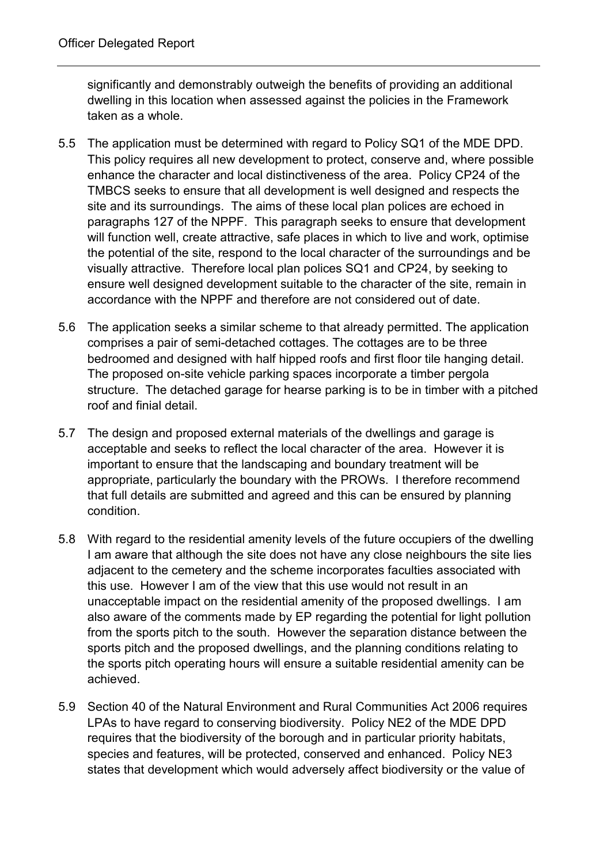significantly and demonstrably outweigh the benefits of providing an additional dwelling in this location when assessed against the policies in the Framework taken as a whole.

- 5.5 The application must be determined with regard to Policy SQ1 of the MDE DPD. This policy requires all new development to protect, conserve and, where possible enhance the character and local distinctiveness of the area. Policy CP24 of the TMBCS seeks to ensure that all development is well designed and respects the site and its surroundings. The aims of these local plan polices are echoed in paragraphs 127 of the NPPF. This paragraph seeks to ensure that development will function well, create attractive, safe places in which to live and work, optimise the potential of the site, respond to the local character of the surroundings and be visually attractive. Therefore local plan polices SQ1 and CP24, by seeking to ensure well designed development suitable to the character of the site, remain in accordance with the NPPF and therefore are not considered out of date.
- 5.6 The application seeks a similar scheme to that already permitted. The application comprises a pair of semi-detached cottages. The cottages are to be three bedroomed and designed with half hipped roofs and first floor tile hanging detail. The proposed on-site vehicle parking spaces incorporate a timber pergola structure. The detached garage for hearse parking is to be in timber with a pitched roof and finial detail.
- 5.7 The design and proposed external materials of the dwellings and garage is acceptable and seeks to reflect the local character of the area. However it is important to ensure that the landscaping and boundary treatment will be appropriate, particularly the boundary with the PROWs. I therefore recommend that full details are submitted and agreed and this can be ensured by planning condition.
- 5.8 With regard to the residential amenity levels of the future occupiers of the dwelling I am aware that although the site does not have any close neighbours the site lies adjacent to the cemetery and the scheme incorporates faculties associated with this use. However I am of the view that this use would not result in an unacceptable impact on the residential amenity of the proposed dwellings. I am also aware of the comments made by EP regarding the potential for light pollution from the sports pitch to the south. However the separation distance between the sports pitch and the proposed dwellings, and the planning conditions relating to the sports pitch operating hours will ensure a suitable residential amenity can be achieved.
- 5.9 Section 40 of the Natural Environment and Rural Communities Act 2006 requires LPAs to have regard to conserving biodiversity. Policy NE2 of the MDE DPD requires that the biodiversity of the borough and in particular priority habitats, species and features, will be protected, conserved and enhanced. Policy NE3 states that development which would adversely affect biodiversity or the value of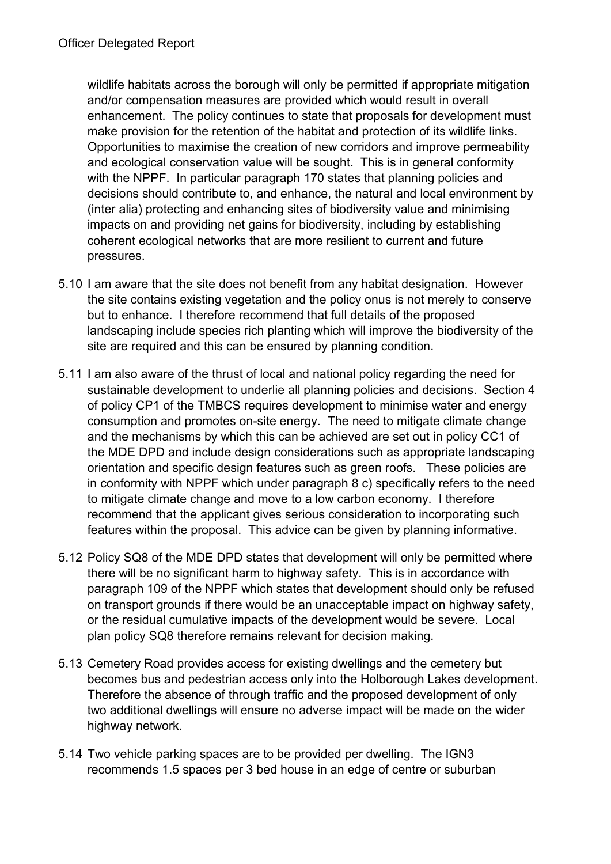wildlife habitats across the borough will only be permitted if appropriate mitigation and/or compensation measures are provided which would result in overall enhancement. The policy continues to state that proposals for development must make provision for the retention of the habitat and protection of its wildlife links. Opportunities to maximise the creation of new corridors and improve permeability and ecological conservation value will be sought. This is in general conformity with the NPPF. In particular paragraph 170 states that planning policies and decisions should contribute to, and enhance, the natural and local environment by (inter alia) protecting and enhancing sites of biodiversity value and minimising impacts on and providing net gains for biodiversity, including by establishing coherent ecological networks that are more resilient to current and future pressures.

- 5.10 I am aware that the site does not benefit from any habitat designation. However the site contains existing vegetation and the policy onus is not merely to conserve but to enhance. I therefore recommend that full details of the proposed landscaping include species rich planting which will improve the biodiversity of the site are required and this can be ensured by planning condition.
- 5.11 I am also aware of the thrust of local and national policy regarding the need for sustainable development to underlie all planning policies and decisions. Section 4 of policy CP1 of the TMBCS requires development to minimise water and energy consumption and promotes on-site energy. The need to mitigate climate change and the mechanisms by which this can be achieved are set out in policy CC1 of the MDE DPD and include design considerations such as appropriate landscaping orientation and specific design features such as green roofs. These policies are in conformity with NPPF which under paragraph 8 c) specifically refers to the need to mitigate climate change and move to a low carbon economy. I therefore recommend that the applicant gives serious consideration to incorporating such features within the proposal. This advice can be given by planning informative.
- 5.12 Policy SQ8 of the MDE DPD states that development will only be permitted where there will be no significant harm to highway safety. This is in accordance with paragraph 109 of the NPPF which states that development should only be refused on transport grounds if there would be an unacceptable impact on highway safety, or the residual cumulative impacts of the development would be severe. Local plan policy SQ8 therefore remains relevant for decision making.
- 5.13 Cemetery Road provides access for existing dwellings and the cemetery but becomes bus and pedestrian access only into the Holborough Lakes development. Therefore the absence of through traffic and the proposed development of only two additional dwellings will ensure no adverse impact will be made on the wider highway network.
- 5.14 Two vehicle parking spaces are to be provided per dwelling. The IGN3 recommends 1.5 spaces per 3 bed house in an edge of centre or suburban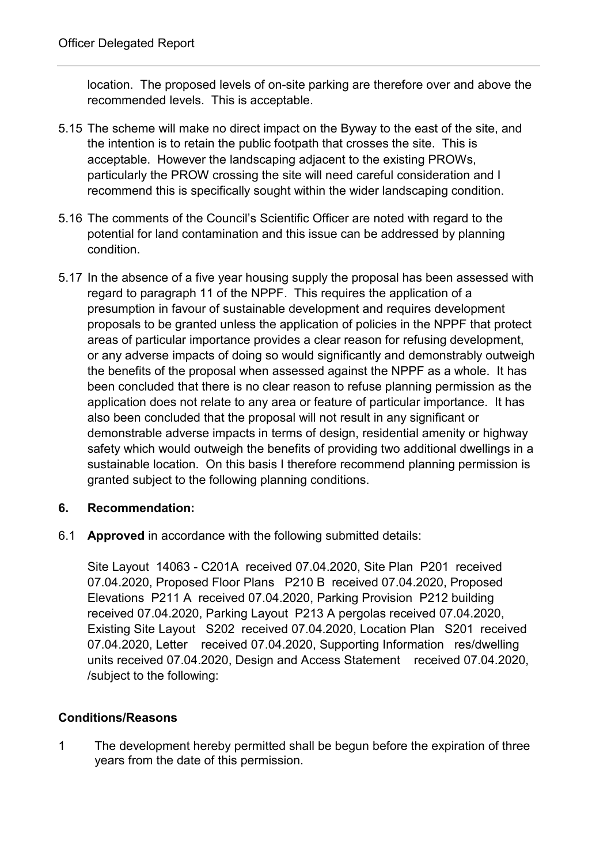location. The proposed levels of on-site parking are therefore over and above the recommended levels. This is acceptable.

- 5.15 The scheme will make no direct impact on the Byway to the east of the site, and the intention is to retain the public footpath that crosses the site. This is acceptable. However the landscaping adjacent to the existing PROWs, particularly the PROW crossing the site will need careful consideration and I recommend this is specifically sought within the wider landscaping condition.
- 5.16 The comments of the Council's Scientific Officer are noted with regard to the potential for land contamination and this issue can be addressed by planning condition.
- 5.17 In the absence of a five year housing supply the proposal has been assessed with regard to paragraph 11 of the NPPF. This requires the application of a presumption in favour of sustainable development and requires development proposals to be granted unless the application of policies in the NPPF that protect areas of particular importance provides a clear reason for refusing development, or any adverse impacts of doing so would significantly and demonstrably outweigh the benefits of the proposal when assessed against the NPPF as a whole. It has been concluded that there is no clear reason to refuse planning permission as the application does not relate to any area or feature of particular importance. It has also been concluded that the proposal will not result in any significant or demonstrable adverse impacts in terms of design, residential amenity or highway safety which would outweigh the benefits of providing two additional dwellings in a sustainable location. On this basis I therefore recommend planning permission is granted subject to the following planning conditions.

# **6. Recommendation:**

6.1 **Approved** in accordance with the following submitted details:

Site Layout 14063 - C201A received 07.04.2020, Site Plan P201 received 07.04.2020, Proposed Floor Plans P210 B received 07.04.2020, Proposed Elevations P211 A received 07.04.2020, Parking Provision P212 building received 07.04.2020, Parking Layout P213 A pergolas received 07.04.2020, Existing Site Layout S202 received 07.04.2020, Location Plan S201 received 07.04.2020, Letter received 07.04.2020, Supporting Information res/dwelling units received 07.04.2020, Design and Access Statement received 07.04.2020, /subject to the following:

# **Conditions/Reasons**

1 The development hereby permitted shall be begun before the expiration of three years from the date of this permission.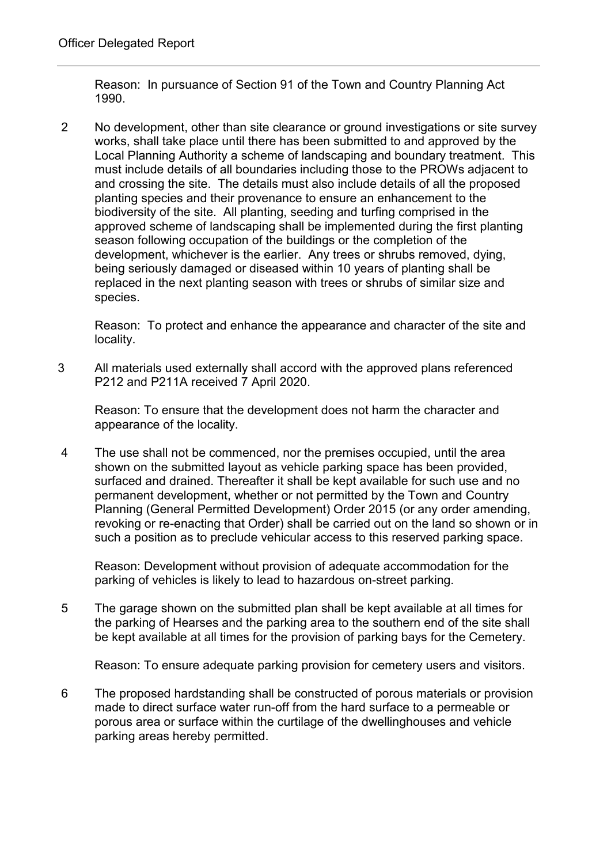Reason: In pursuance of Section 91 of the Town and Country Planning Act 1990.

2 No development, other than site clearance or ground investigations or site survey works, shall take place until there has been submitted to and approved by the Local Planning Authority a scheme of landscaping and boundary treatment. This must include details of all boundaries including those to the PROWs adjacent to and crossing the site. The details must also include details of all the proposed planting species and their provenance to ensure an enhancement to the biodiversity of the site. All planting, seeding and turfing comprised in the approved scheme of landscaping shall be implemented during the first planting season following occupation of the buildings or the completion of the development, whichever is the earlier. Any trees or shrubs removed, dying, being seriously damaged or diseased within 10 years of planting shall be replaced in the next planting season with trees or shrubs of similar size and species.

Reason: To protect and enhance the appearance and character of the site and locality.

3 All materials used externally shall accord with the approved plans referenced P212 and P211A received 7 April 2020.

Reason: To ensure that the development does not harm the character and appearance of the locality.

4 The use shall not be commenced, nor the premises occupied, until the area shown on the submitted layout as vehicle parking space has been provided, surfaced and drained. Thereafter it shall be kept available for such use and no permanent development, whether or not permitted by the Town and Country Planning (General Permitted Development) Order 2015 (or any order amending, revoking or re-enacting that Order) shall be carried out on the land so shown or in such a position as to preclude vehicular access to this reserved parking space.

Reason: Development without provision of adequate accommodation for the parking of vehicles is likely to lead to hazardous on-street parking.

5 The garage shown on the submitted plan shall be kept available at all times for the parking of Hearses and the parking area to the southern end of the site shall be kept available at all times for the provision of parking bays for the Cemetery.

Reason: To ensure adequate parking provision for cemetery users and visitors.

6 The proposed hardstanding shall be constructed of porous materials or provision made to direct surface water run-off from the hard surface to a permeable or porous area or surface within the curtilage of the dwellinghouses and vehicle parking areas hereby permitted.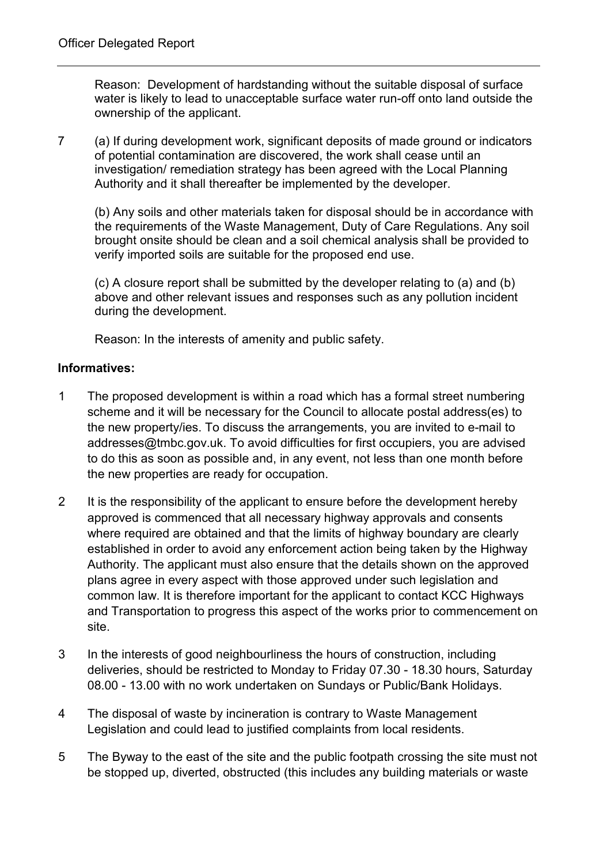Reason: Development of hardstanding without the suitable disposal of surface water is likely to lead to unacceptable surface water run-off onto land outside the ownership of the applicant.

7 (a) If during development work, significant deposits of made ground or indicators of potential contamination are discovered, the work shall cease until an investigation/ remediation strategy has been agreed with the Local Planning Authority and it shall thereafter be implemented by the developer.

(b) Any soils and other materials taken for disposal should be in accordance with the requirements of the Waste Management, Duty of Care Regulations. Any soil brought onsite should be clean and a soil chemical analysis shall be provided to verify imported soils are suitable for the proposed end use.

(c) A closure report shall be submitted by the developer relating to (a) and (b) above and other relevant issues and responses such as any pollution incident during the development.

Reason: In the interests of amenity and public safety.

#### **Informatives:**

- 1 The proposed development is within a road which has a formal street numbering scheme and it will be necessary for the Council to allocate postal address(es) to the new property/ies. To discuss the arrangements, you are invited to e-mail to addresses@tmbc.gov.uk. To avoid difficulties for first occupiers, you are advised to do this as soon as possible and, in any event, not less than one month before the new properties are ready for occupation.
- 2 It is the responsibility of the applicant to ensure before the development hereby approved is commenced that all necessary highway approvals and consents where required are obtained and that the limits of highway boundary are clearly established in order to avoid any enforcement action being taken by the Highway Authority. The applicant must also ensure that the details shown on the approved plans agree in every aspect with those approved under such legislation and common law. It is therefore important for the applicant to contact KCC Highways and Transportation to progress this aspect of the works prior to commencement on site.
- 3 In the interests of good neighbourliness the hours of construction, including deliveries, should be restricted to Monday to Friday 07.30 - 18.30 hours, Saturday 08.00 - 13.00 with no work undertaken on Sundays or Public/Bank Holidays.
- 4 The disposal of waste by incineration is contrary to Waste Management Legislation and could lead to justified complaints from local residents.
- 5 The Byway to the east of the site and the public footpath crossing the site must not be stopped up, diverted, obstructed (this includes any building materials or waste